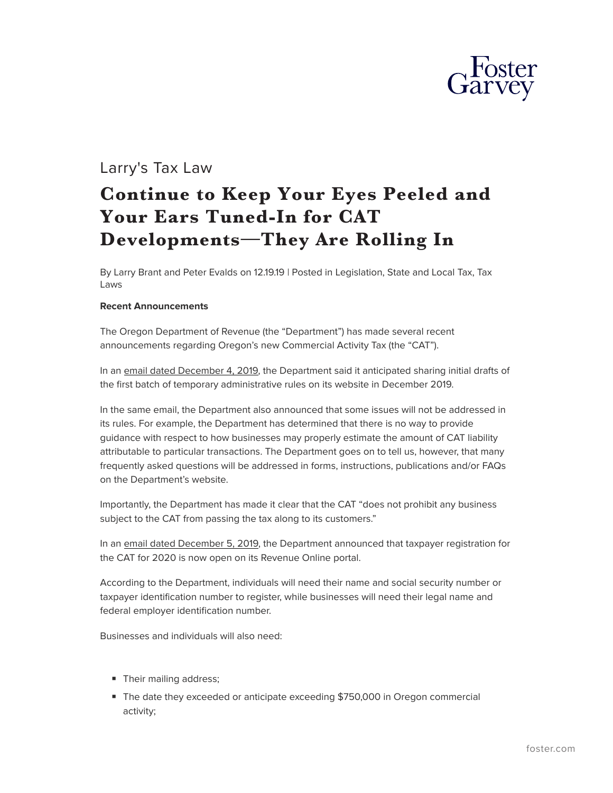

# Larry's Tax Law

# **Continue to Keep Your Eyes Peeled and Your Ears Tuned-In for CAT Developments—They Are Rolling In**

By Larry Brant and Peter Evalds on 12.19.19 | Posted in Legislation, State and Local Tax, Tax Laws

#### **Recent Announcements**

The Oregon Department of Revenue (the "Department") has made several recent announcements regarding Oregon's new Commercial Activity Tax (the "CAT").

In an email dated December 4, 2019, the Department said it anticipated sharing initial drafts of the first batch of temporary administrative rules on its website in December 2019.

In the same email, the Department also announced that some issues will not be addressed in its rules. For example, the Department has determined that there is no way to provide guidance with respect to how businesses may properly estimate the amount of CAT liability attributable to particular transactions. The Department goes on to tell us, however, that many frequently asked questions will be addressed in forms, instructions, publications and/or FAQs on the Department's website.

Importantly, the Department has made it clear that the CAT "does not prohibit any business subject to the CAT from passing the tax along to its customers."

In an email dated December 5, 2019, the Department announced that taxpayer registration for the CAT for 2020 is now open on its Revenue Online portal.

According to the Department, individuals will need their name and social security number or taxpayer identification number to register, while businesses will need their legal name and federal employer identification number.

Businesses and individuals will also need:

- Their mailing address;
- The date they exceeded or anticipate exceeding \$750,000 in Oregon commercial activity;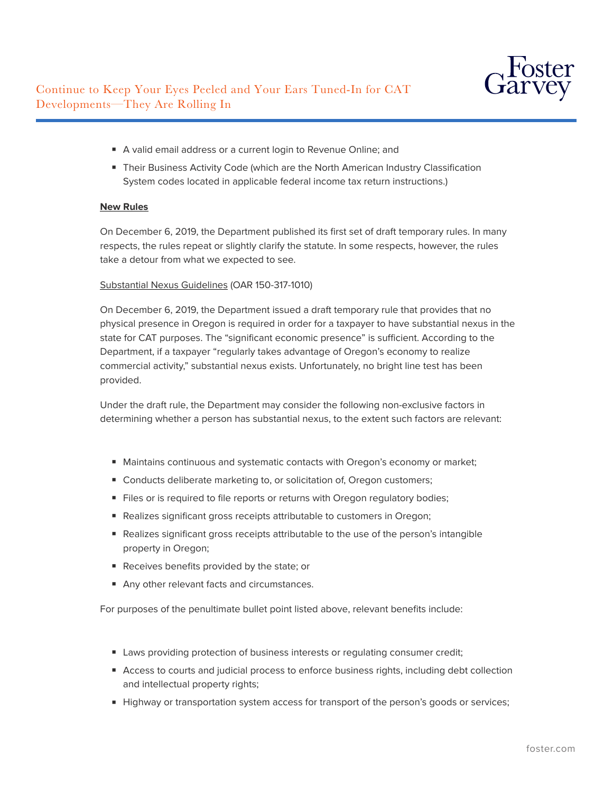- A valid email address or a current login to Revenue Online; and
- Their Business Activity Code (which are the North American Industry Classification System codes located in applicable federal income tax return instructions.)

# **New Rules**

On December 6, 2019, the Department published its first set of draft temporary rules. In many respects, the rules repeat or slightly clarify the statute. In some respects, however, the rules take a detour from what we expected to see.

#### Substantial Nexus Guidelines (OAR 150-317-1010)

On December 6, 2019, the Department issued a draft temporary rule that provides that no physical presence in Oregon is required in order for a taxpayer to have substantial nexus in the state for CAT purposes. The "significant economic presence" is sufficient. According to the Department, if a taxpayer "regularly takes advantage of Oregon's economy to realize commercial activity," substantial nexus exists. Unfortunately, no bright line test has been provided.

Under the draft rule, the Department may consider the following non-exclusive factors in determining whether a person has substantial nexus, to the extent such factors are relevant:

- Maintains continuous and systematic contacts with Oregon's economy or market;
- Conducts deliberate marketing to, or solicitation of, Oregon customers;
- Files or is required to file reports or returns with Oregon regulatory bodies;
- Realizes significant gross receipts attributable to customers in Oregon;
- Realizes significant gross receipts attributable to the use of the person's intangible property in Oregon;
- Receives benefits provided by the state; or
- Any other relevant facts and circumstances.

For purposes of the penultimate bullet point listed above, relevant benefits include:

- Laws providing protection of business interests or regulating consumer credit;
- Access to courts and judicial process to enforce business rights, including debt collection and intellectual property rights;
- Highway or transportation system access for transport of the person's goods or services;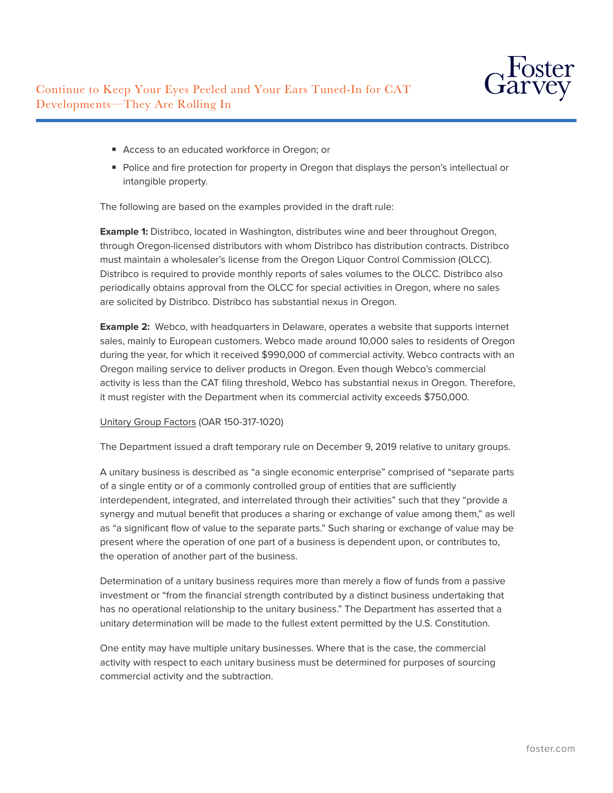

- Access to an educated workforce in Oregon; or
- Police and fire protection for property in Oregon that displays the person's intellectual or intangible property.

The following are based on the examples provided in the draft rule:

**Example 1:** Distribco, located in Washington, distributes wine and beer throughout Oregon, through Oregon-licensed distributors with whom Distribco has distribution contracts. Distribco must maintain a wholesaler's license from the Oregon Liquor Control Commission (OLCC). Distribco is required to provide monthly reports of sales volumes to the OLCC. Distribco also periodically obtains approval from the OLCC for special activities in Oregon, where no sales are solicited by Distribco. Distribco has substantial nexus in Oregon.

**Example 2:** Webco, with headquarters in Delaware, operates a website that supports internet sales, mainly to European customers. Webco made around 10,000 sales to residents of Oregon during the year, for which it received \$990,000 of commercial activity. Webco contracts with an Oregon mailing service to deliver products in Oregon. Even though Webco's commercial activity is less than the CAT filing threshold, Webco has substantial nexus in Oregon. Therefore, it must register with the Department when its commercial activity exceeds \$750,000.

# Unitary Group Factors (OAR 150-317-1020)

The Department issued a draft temporary rule on December 9, 2019 relative to unitary groups.

A unitary business is described as "a single economic enterprise" comprised of "separate parts of a single entity or of a commonly controlled group of entities that are sufficiently interdependent, integrated, and interrelated through their activities" such that they "provide a synergy and mutual benefit that produces a sharing or exchange of value among them," as well as "a significant flow of value to the separate parts." Such sharing or exchange of value may be present where the operation of one part of a business is dependent upon, or contributes to, the operation of another part of the business.

Determination of a unitary business requires more than merely a flow of funds from a passive investment or "from the financial strength contributed by a distinct business undertaking that has no operational relationship to the unitary business." The Department has asserted that a unitary determination will be made to the fullest extent permitted by the U.S. Constitution.

One entity may have multiple unitary businesses. Where that is the case, the commercial activity with respect to each unitary business must be determined for purposes of sourcing commercial activity and the subtraction.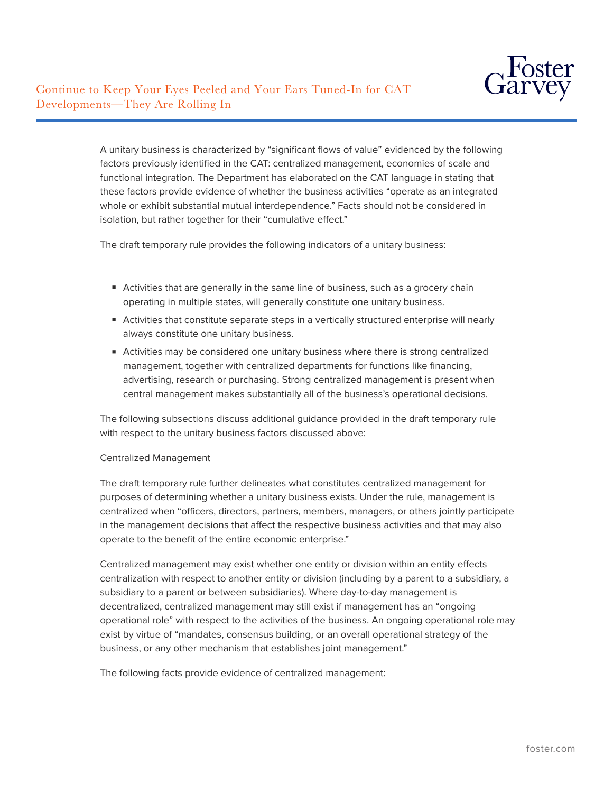

A unitary business is characterized by "significant flows of value" evidenced by the following factors previously identified in the CAT: centralized management, economies of scale and functional integration. The Department has elaborated on the CAT language in stating that these factors provide evidence of whether the business activities "operate as an integrated whole or exhibit substantial mutual interdependence." Facts should not be considered in isolation, but rather together for their "cumulative effect."

The draft temporary rule provides the following indicators of a unitary business:

- Activities that are generally in the same line of business, such as a grocery chain operating in multiple states, will generally constitute one unitary business.
- Activities that constitute separate steps in a vertically structured enterprise will nearly always constitute one unitary business.
- Activities may be considered one unitary business where there is strong centralized management, together with centralized departments for functions like financing, advertising, research or purchasing. Strong centralized management is present when central management makes substantially all of the business's operational decisions.

The following subsections discuss additional guidance provided in the draft temporary rule with respect to the unitary business factors discussed above:

#### Centralized Management

The draft temporary rule further delineates what constitutes centralized management for purposes of determining whether a unitary business exists. Under the rule, management is centralized when "officers, directors, partners, members, managers, or others jointly participate in the management decisions that affect the respective business activities and that may also operate to the benefit of the entire economic enterprise."

Centralized management may exist whether one entity or division within an entity effects centralization with respect to another entity or division (including by a parent to a subsidiary, a subsidiary to a parent or between subsidiaries). Where day-to-day management is decentralized, centralized management may still exist if management has an "ongoing operational role" with respect to the activities of the business. An ongoing operational role may exist by virtue of "mandates, consensus building, or an overall operational strategy of the business, or any other mechanism that establishes joint management."

The following facts provide evidence of centralized management: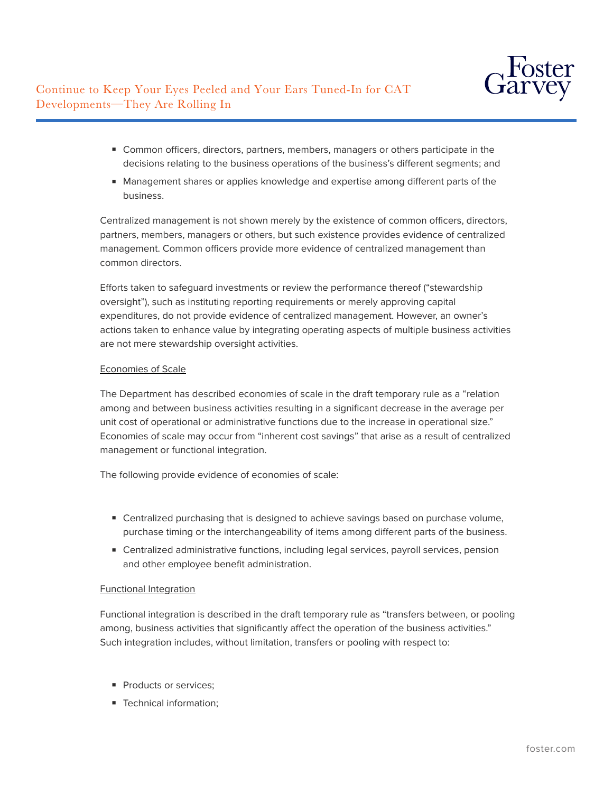

- Common officers, directors, partners, members, managers or others participate in the decisions relating to the business operations of the business's different segments; and
- Management shares or applies knowledge and expertise among different parts of the business.

Centralized management is not shown merely by the existence of common officers, directors, partners, members, managers or others, but such existence provides evidence of centralized management. Common officers provide more evidence of centralized management than common directors.

Efforts taken to safeguard investments or review the performance thereof ("stewardship oversight"), such as instituting reporting requirements or merely approving capital expenditures, do not provide evidence of centralized management. However, an owner's actions taken to enhance value by integrating operating aspects of multiple business activities are not mere stewardship oversight activities.

# Economies of Scale

The Department has described economies of scale in the draft temporary rule as a "relation among and between business activities resulting in a significant decrease in the average per unit cost of operational or administrative functions due to the increase in operational size." Economies of scale may occur from "inherent cost savings" that arise as a result of centralized management or functional integration.

The following provide evidence of economies of scale:

- Centralized purchasing that is designed to achieve savings based on purchase volume, purchase timing or the interchangeability of items among different parts of the business.
- Centralized administrative functions, including legal services, payroll services, pension and other employee benefit administration.

# Functional Integration

Functional integration is described in the draft temporary rule as "transfers between, or pooling among, business activities that significantly affect the operation of the business activities." Such integration includes, without limitation, transfers or pooling with respect to:

- Products or services:
- Technical information: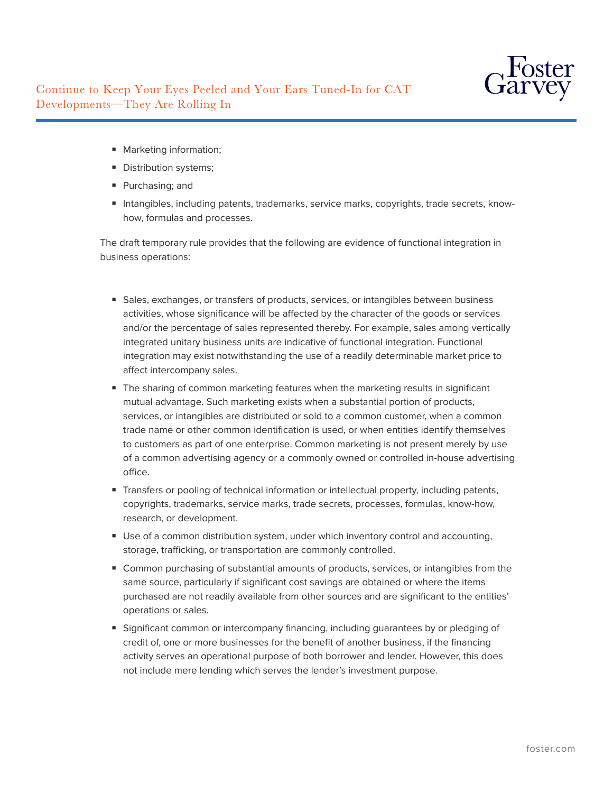

- Marketing information;
- Distribution systems;
- Purchasing; and
- Intangibles, including patents, trademarks, service marks, copyrights, trade secrets, knowhow, formulas and processes.

The draft temporary rule provides that the following are evidence of functional integration in business operations:

- Sales, exchanges, or transfers of products, services, or intangibles between business activities, whose significance will be affected by the character of the goods or services and/or the percentage of sales represented thereby. For example, sales among vertically integrated unitary business units are indicative of functional integration. Functional integration may exist notwithstanding the use of a readily determinable market price to affect intercompany sales.
- The sharing of common marketing features when the marketing results in significant mutual advantage. Such marketing exists when a substantial portion of products, services, or intangibles are distributed or sold to a common customer, when a common trade name or other common identification is used, or when entities identify themselves to customers as part of one enterprise. Common marketing is not present merely by use of a common advertising agency or a commonly owned or controlled in-house advertising office.
- Transfers or pooling of technical information or intellectual property, including patents, copyrights, trademarks, service marks, trade secrets, processes, formulas, know-how, research, or development.
- Use of a common distribution system, under which inventory control and accounting, storage, trafficking, or transportation are commonly controlled.
- Common purchasing of substantial amounts of products, services, or intangibles from the same source, particularly if significant cost savings are obtained or where the items purchased are not readily available from other sources and are significant to the entities' operations or sales.
- Significant common or intercompany financing, including guarantees by or pledging of credit of, one or more businesses for the benefit of another business, if the financing activity serves an operational purpose of both borrower and lender. However, this does not include mere lending which serves the lender's investment purpose.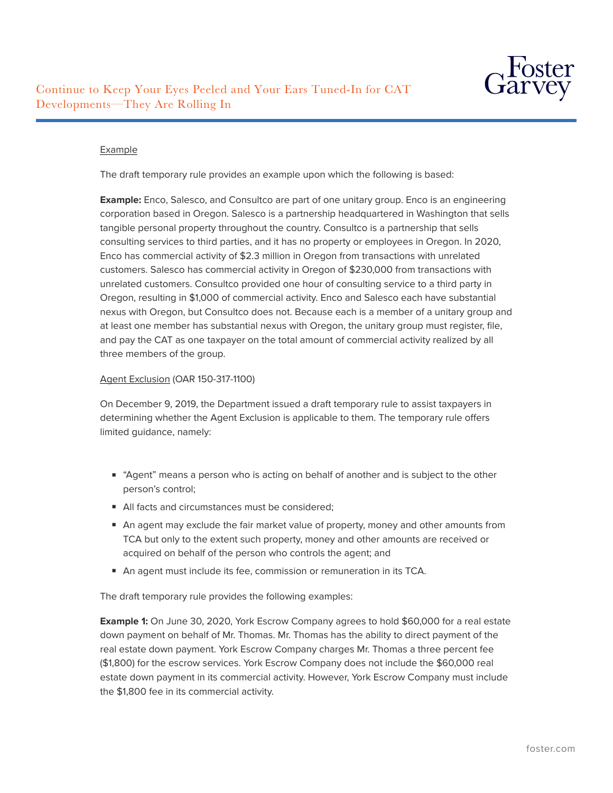

#### Example

The draft temporary rule provides an example upon which the following is based:

**Example:** Enco, Salesco, and Consultco are part of one unitary group. Enco is an engineering corporation based in Oregon. Salesco is a partnership headquartered in Washington that sells tangible personal property throughout the country. Consultco is a partnership that sells consulting services to third parties, and it has no property or employees in Oregon. In 2020, Enco has commercial activity of \$2.3 million in Oregon from transactions with unrelated customers. Salesco has commercial activity in Oregon of \$230,000 from transactions with unrelated customers. Consultco provided one hour of consulting service to a third party in Oregon, resulting in \$1,000 of commercial activity. Enco and Salesco each have substantial nexus with Oregon, but Consultco does not. Because each is a member of a unitary group and at least one member has substantial nexus with Oregon, the unitary group must register, file, and pay the CAT as one taxpayer on the total amount of commercial activity realized by all three members of the group.

#### Agent Exclusion (OAR 150-317-1100)

On December 9, 2019, the Department issued a draft temporary rule to assist taxpayers in determining whether the Agent Exclusion is applicable to them. The temporary rule offers limited guidance, namely:

- "Agent" means a person who is acting on behalf of another and is subject to the other person's control;
- All facts and circumstances must be considered;
- An agent may exclude the fair market value of property, money and other amounts from TCA but only to the extent such property, money and other amounts are received or acquired on behalf of the person who controls the agent; and
- An agent must include its fee, commission or remuneration in its TCA.

The draft temporary rule provides the following examples:

**Example 1:** On June 30, 2020, York Escrow Company agrees to hold \$60,000 for a real estate down payment on behalf of Mr. Thomas. Mr. Thomas has the ability to direct payment of the real estate down payment. York Escrow Company charges Mr. Thomas a three percent fee (\$1,800) for the escrow services. York Escrow Company does not include the \$60,000 real estate down payment in its commercial activity. However, York Escrow Company must include the \$1,800 fee in its commercial activity.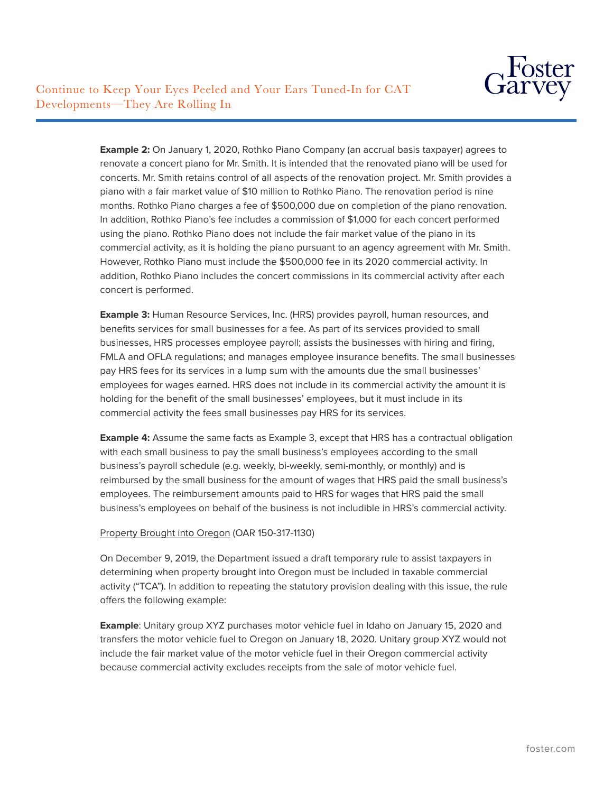

**Example 2:** On January 1, 2020, Rothko Piano Company (an accrual basis taxpayer) agrees to renovate a concert piano for Mr. Smith. It is intended that the renovated piano will be used for concerts. Mr. Smith retains control of all aspects of the renovation project. Mr. Smith provides a piano with a fair market value of \$10 million to Rothko Piano. The renovation period is nine months. Rothko Piano charges a fee of \$500,000 due on completion of the piano renovation. In addition, Rothko Piano's fee includes a commission of \$1,000 for each concert performed using the piano. Rothko Piano does not include the fair market value of the piano in its commercial activity, as it is holding the piano pursuant to an agency agreement with Mr. Smith. However, Rothko Piano must include the \$500,000 fee in its 2020 commercial activity. In addition, Rothko Piano includes the concert commissions in its commercial activity after each concert is performed.

**Example 3:** Human Resource Services, Inc. (HRS) provides payroll, human resources, and benefits services for small businesses for a fee. As part of its services provided to small businesses, HRS processes employee payroll; assists the businesses with hiring and firing, FMLA and OFLA regulations; and manages employee insurance benefits. The small businesses pay HRS fees for its services in a lump sum with the amounts due the small businesses' employees for wages earned. HRS does not include in its commercial activity the amount it is holding for the benefit of the small businesses' employees, but it must include in its commercial activity the fees small businesses pay HRS for its services.

**Example 4:** Assume the same facts as Example 3, except that HRS has a contractual obligation with each small business to pay the small business's employees according to the small business's payroll schedule (e.g. weekly, bi-weekly, semi-monthly, or monthly) and is reimbursed by the small business for the amount of wages that HRS paid the small business's employees. The reimbursement amounts paid to HRS for wages that HRS paid the small business's employees on behalf of the business is not includible in HRS's commercial activity.

#### Property Brought into Oregon (OAR 150-317-1130)

On December 9, 2019, the Department issued a draft temporary rule to assist taxpayers in determining when property brought into Oregon must be included in taxable commercial activity ("TCA"). In addition to repeating the statutory provision dealing with this issue, the rule offers the following example:

**Example**: Unitary group XYZ purchases motor vehicle fuel in Idaho on January 15, 2020 and transfers the motor vehicle fuel to Oregon on January 18, 2020. Unitary group XYZ would not include the fair market value of the motor vehicle fuel in their Oregon commercial activity because commercial activity excludes receipts from the sale of motor vehicle fuel.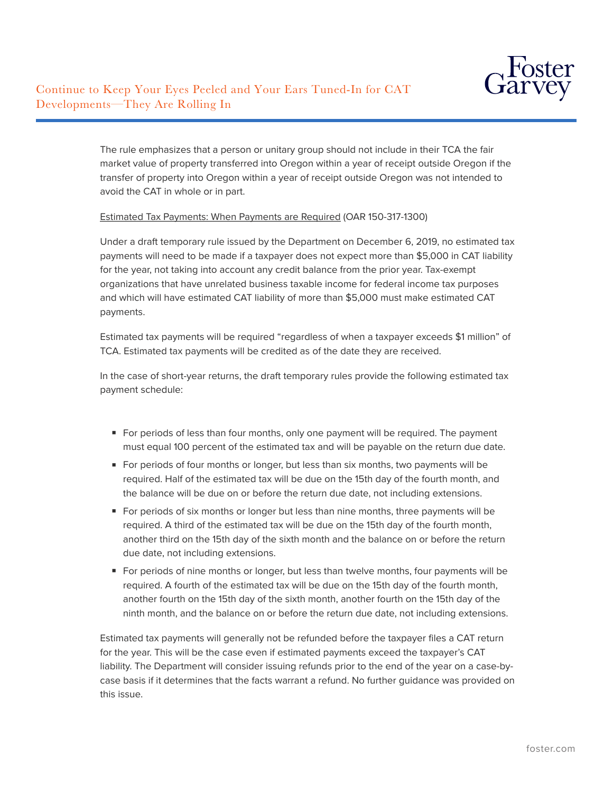

The rule emphasizes that a person or unitary group should not include in their TCA the fair market value of property transferred into Oregon within a year of receipt outside Oregon if the transfer of property into Oregon within a year of receipt outside Oregon was not intended to avoid the CAT in whole or in part.

# Estimated Tax Payments: When Payments are Required (OAR 150-317-1300)

Under a draft temporary rule issued by the Department on December 6, 2019, no estimated tax payments will need to be made if a taxpayer does not expect more than \$5,000 in CAT liability for the year, not taking into account any credit balance from the prior year. Tax-exempt organizations that have unrelated business taxable income for federal income tax purposes and which will have estimated CAT liability of more than \$5,000 must make estimated CAT payments.

Estimated tax payments will be required "regardless of when a taxpayer exceeds \$1 million" of TCA. Estimated tax payments will be credited as of the date they are received.

In the case of short-year returns, the draft temporary rules provide the following estimated tax payment schedule:

- For periods of less than four months, only one payment will be required. The payment must equal 100 percent of the estimated tax and will be payable on the return due date.
- For periods of four months or longer, but less than six months, two payments will be required. Half of the estimated tax will be due on the 15th day of the fourth month, and the balance will be due on or before the return due date, not including extensions.
- For periods of six months or longer but less than nine months, three payments will be required. A third of the estimated tax will be due on the 15th day of the fourth month, another third on the 15th day of the sixth month and the balance on or before the return due date, not including extensions.
- For periods of nine months or longer, but less than twelve months, four payments will be required. A fourth of the estimated tax will be due on the 15th day of the fourth month, another fourth on the 15th day of the sixth month, another fourth on the 15th day of the ninth month, and the balance on or before the return due date, not including extensions.

Estimated tax payments will generally not be refunded before the taxpayer files a CAT return for the year. This will be the case even if estimated payments exceed the taxpayer's CAT liability. The Department will consider issuing refunds prior to the end of the year on a case-bycase basis if it determines that the facts warrant a refund. No further guidance was provided on this issue.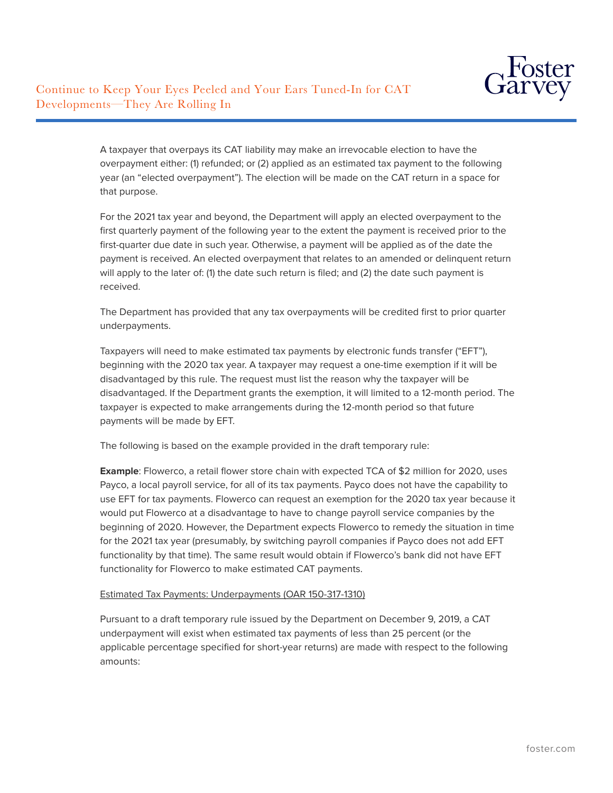

A taxpayer that overpays its CAT liability may make an irrevocable election to have the overpayment either: (1) refunded; or (2) applied as an estimated tax payment to the following year (an "elected overpayment"). The election will be made on the CAT return in a space for that purpose.

For the 2021 tax year and beyond, the Department will apply an elected overpayment to the first quarterly payment of the following year to the extent the payment is received prior to the first-quarter due date in such year. Otherwise, a payment will be applied as of the date the payment is received. An elected overpayment that relates to an amended or delinquent return will apply to the later of: (1) the date such return is filed; and (2) the date such payment is received.

The Department has provided that any tax overpayments will be credited first to prior quarter underpayments.

Taxpayers will need to make estimated tax payments by electronic funds transfer ("EFT"), beginning with the 2020 tax year. A taxpayer may request a one-time exemption if it will be disadvantaged by this rule. The request must list the reason why the taxpayer will be disadvantaged. If the Department grants the exemption, it will limited to a 12-month period. The taxpayer is expected to make arrangements during the 12-month period so that future payments will be made by EFT.

The following is based on the example provided in the draft temporary rule:

**Example**: Flowerco, a retail flower store chain with expected TCA of \$2 million for 2020, uses Payco, a local payroll service, for all of its tax payments. Payco does not have the capability to use EFT for tax payments. Flowerco can request an exemption for the 2020 tax year because it would put Flowerco at a disadvantage to have to change payroll service companies by the beginning of 2020. However, the Department expects Flowerco to remedy the situation in time for the 2021 tax year (presumably, by switching payroll companies if Payco does not add EFT functionality by that time). The same result would obtain if Flowerco's bank did not have EFT functionality for Flowerco to make estimated CAT payments.

#### Estimated Tax Payments: Underpayments (OAR 150-317-1310)

Pursuant to a draft temporary rule issued by the Department on December 9, 2019, a CAT underpayment will exist when estimated tax payments of less than 25 percent (or the applicable percentage specified for short-year returns) are made with respect to the following amounts: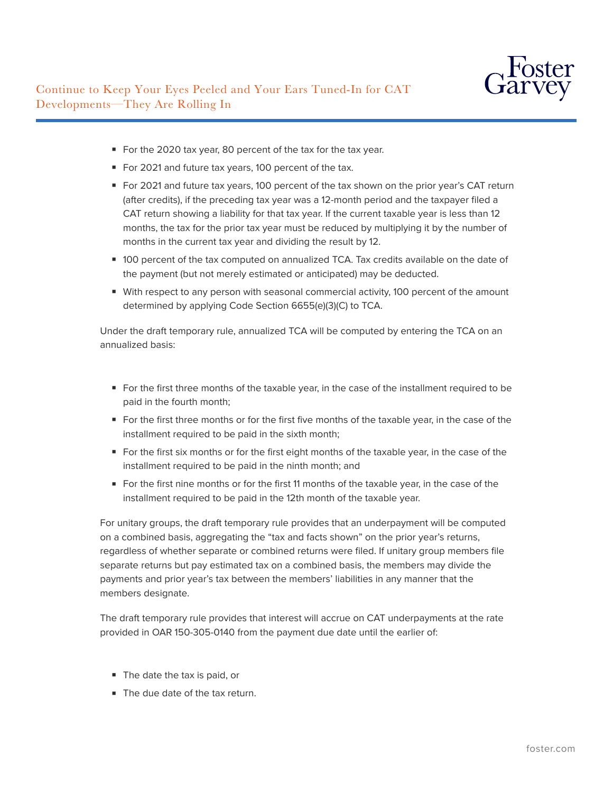- For the 2020 tax year, 80 percent of the tax for the tax year.
- For 2021 and future tax years, 100 percent of the tax.
- For 2021 and future tax years, 100 percent of the tax shown on the prior year's CAT return (after credits), if the preceding tax year was a 12-month period and the taxpayer filed a CAT return showing a liability for that tax year. If the current taxable year is less than 12 months, the tax for the prior tax year must be reduced by multiplying it by the number of months in the current tax year and dividing the result by 12.
- 100 percent of the tax computed on annualized TCA. Tax credits available on the date of the payment (but not merely estimated or anticipated) may be deducted.
- With respect to any person with seasonal commercial activity, 100 percent of the amount determined by applying Code Section 6655(e)(3)(C) to TCA.

Under the draft temporary rule, annualized TCA will be computed by entering the TCA on an annualized basis:

- For the first three months of the taxable year, in the case of the installment required to be paid in the fourth month;
- For the first three months or for the first five months of the taxable year, in the case of the installment required to be paid in the sixth month;
- For the first six months or for the first eight months of the taxable year, in the case of the installment required to be paid in the ninth month; and
- For the first nine months or for the first 11 months of the taxable year, in the case of the installment required to be paid in the 12th month of the taxable year.

For unitary groups, the draft temporary rule provides that an underpayment will be computed on a combined basis, aggregating the "tax and facts shown" on the prior year's returns, regardless of whether separate or combined returns were filed. If unitary group members file separate returns but pay estimated tax on a combined basis, the members may divide the payments and prior year's tax between the members' liabilities in any manner that the members designate.

The draft temporary rule provides that interest will accrue on CAT underpayments at the rate provided in OAR 150-305-0140 from the payment due date until the earlier of:

- The date the tax is paid, or
- The due date of the tax return.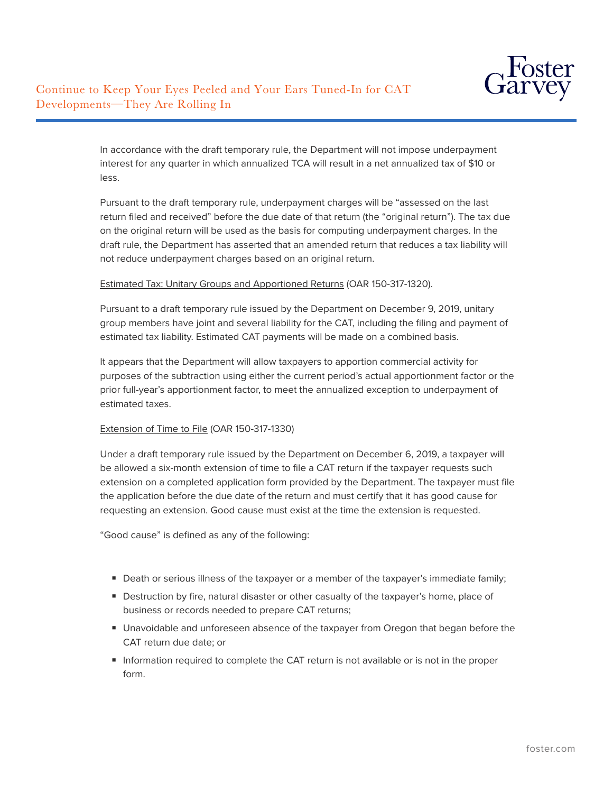In accordance with the draft temporary rule, the Department will not impose underpayment interest for any quarter in which annualized TCA will result in a net annualized tax of \$10 or less.

Pursuant to the draft temporary rule, underpayment charges will be "assessed on the last return filed and received" before the due date of that return (the "original return"). The tax due on the original return will be used as the basis for computing underpayment charges. In the draft rule, the Department has asserted that an amended return that reduces a tax liability will not reduce underpayment charges based on an original return.

# Estimated Tax: Unitary Groups and Apportioned Returns (OAR 150-317-1320).

Pursuant to a draft temporary rule issued by the Department on December 9, 2019, unitary group members have joint and several liability for the CAT, including the filing and payment of estimated tax liability. Estimated CAT payments will be made on a combined basis.

It appears that the Department will allow taxpayers to apportion commercial activity for purposes of the subtraction using either the current period's actual apportionment factor or the prior full-year's apportionment factor, to meet the annualized exception to underpayment of estimated taxes.

#### Extension of Time to File (OAR 150-317-1330)

Under a draft temporary rule issued by the Department on December 6, 2019, a taxpayer will be allowed a six-month extension of time to file a CAT return if the taxpayer requests such extension on a completed application form provided by the Department. The taxpayer must file the application before the due date of the return and must certify that it has good cause for requesting an extension. Good cause must exist at the time the extension is requested.

"Good cause" is defined as any of the following:

- Death or serious illness of the taxpayer or a member of the taxpayer's immediate family;
- Destruction by fire, natural disaster or other casualty of the taxpayer's home, place of business or records needed to prepare CAT returns;
- Unavoidable and unforeseen absence of the taxpayer from Oregon that began before the CAT return due date; or
- Information required to complete the CAT return is not available or is not in the proper form.